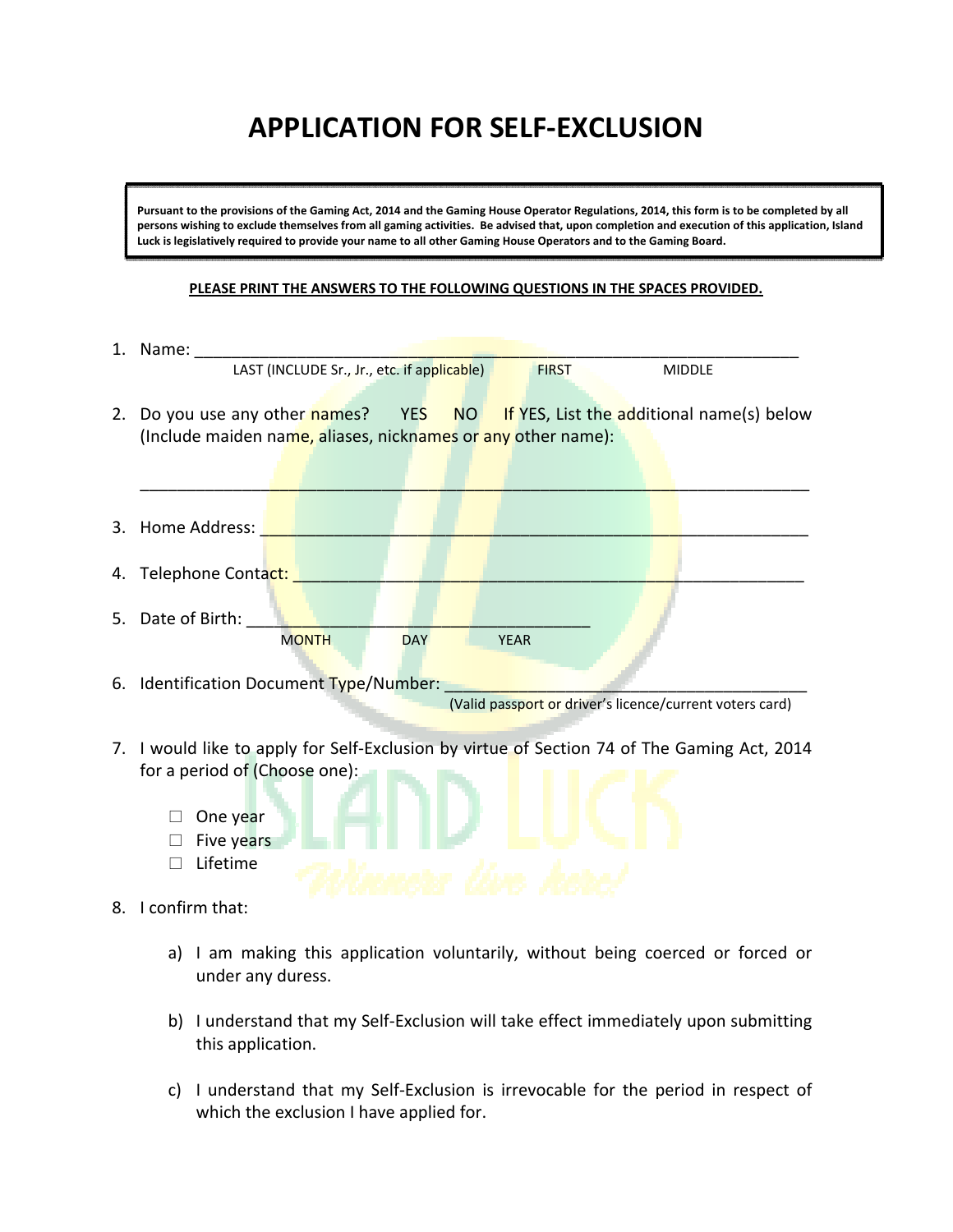## **APPLICATION FOR SELF‐EXCLUSION**

Pursuant to the provisions of the Gaming Act, 2014 and the Gaming House Operator Regulations, 2014, this form is to be completed by all persons wishing to exclude themselves from all gaming activities. Be advised that, upon completion and execution of this application, Island Luck is legislatively required to provide your name to all other Gaming House Operators and to the Gaming Board.

## **PLEASE PRINT THE ANSWERS TO THE FOLLOWING QUESTIONS IN THE SPACES PROVIDED.**

| 1. Name:                                                                                                                                                                     |  |  |  |  |  |
|------------------------------------------------------------------------------------------------------------------------------------------------------------------------------|--|--|--|--|--|
| LAST (INCLUDE Sr., Jr., etc. if applicable)<br><b>MIDDLE</b><br><b>FIRST</b>                                                                                                 |  |  |  |  |  |
| 2. Do you use any other names? YES NO If YES, List the additional name(s) below<br>(Include maiden name, aliases, nicknames or any other name):                              |  |  |  |  |  |
| 3. Home Address: 1                                                                                                                                                           |  |  |  |  |  |
| 4. Telephone Contact:                                                                                                                                                        |  |  |  |  |  |
| 5. Date of Birth:<br><b>MONTH</b><br><b>DAY</b><br><b>YEAR</b>                                                                                                               |  |  |  |  |  |
| 6. Identification Document Type/Number:<br>(Valid passport or driver's licence/current voters card)                                                                          |  |  |  |  |  |
| 7. I would like to apply for Self-Exclusion by virtue of Section 74 of The Gaming Act, 2014<br>for a period of (Choose one):<br>One year<br>Five years<br>Lifetime<br>$\Box$ |  |  |  |  |  |
| 8. I confirm that:                                                                                                                                                           |  |  |  |  |  |
| I am making this annication voluntarily without heing coerced or forced or                                                                                                   |  |  |  |  |  |

- a) I am making this application voluntarily, without being coerced or forced or under any duress.
- b) I understand that my Self‐Exclusion will take effect immediately upon submitting this application.
- c) I understand that my Self‐Exclusion is irrevocable for the period in respect of which the exclusion I have applied for.